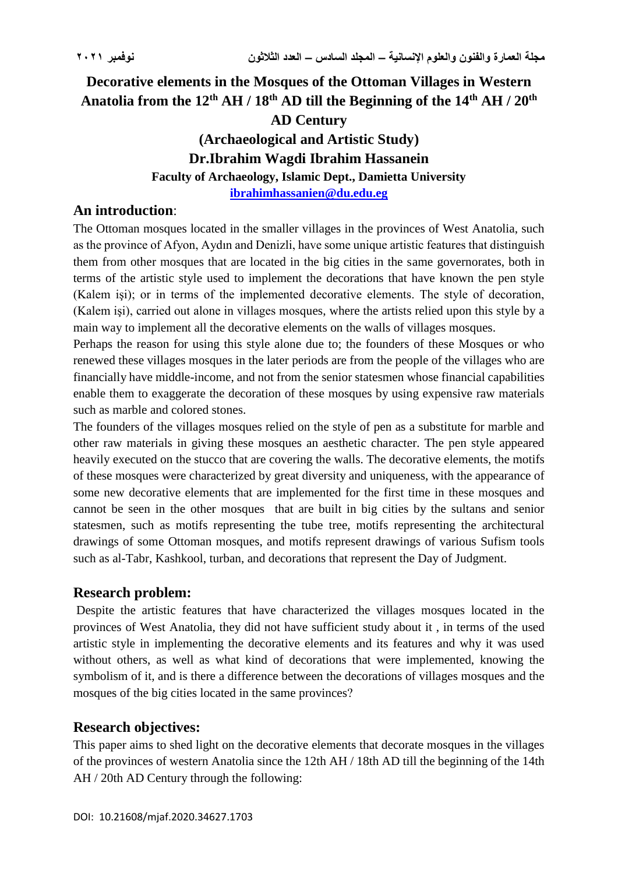# **Decorative elements in the Mosques of the Ottoman Villages in Western Anatolia from the 12th AH / 18th AD till the Beginning of the 14th AH / 20th AD Century (Archaeological and Artistic Study) Dr.Ibrahim Wagdi Ibrahim Hassanein Faculty of Archaeology, Islamic Dept., Damietta University [ibrahimhassanien@du.edu.eg](mailto:ibrahimhassanien@du.edu.eg)**

### **An introduction**:

The Ottoman mosques located in the smaller villages in the provinces of West Anatolia, such as the province of Afyon, Aydın and Denizli, have some unique artistic features that distinguish them from other mosques that are located in the big cities in the same governorates, both in terms of the artistic style used to implement the decorations that have known the pen style (Kalem işi); or in terms of the implemented decorative elements. The style of decoration, (Kalem işi), carried out alone in villages mosques, where the artists relied upon this style by a main way to implement all the decorative elements on the walls of villages mosques.

Perhaps the reason for using this style alone due to; the founders of these Mosques or who renewed these villages mosques in the later periods are from the people of the villages who are financially have middle-income, and not from the senior statesmen whose financial capabilities enable them to exaggerate the decoration of these mosques by using expensive raw materials such as marble and colored stones.

The founders of the villages mosques relied on the style of pen as a substitute for marble and other raw materials in giving these mosques an aesthetic character. The pen style appeared heavily executed on the stucco that are covering the walls. The decorative elements, the motifs of these mosques were characterized by great diversity and uniqueness, with the appearance of some new decorative elements that are implemented for the first time in these mosques and cannot be seen in the other mosques that are built in big cities by the sultans and senior statesmen, such as motifs representing the tube tree, motifs representing the architectural drawings of some Ottoman mosques, and motifs represent drawings of various Sufism tools such as al-Tabr, Kashkool, turban, and decorations that represent the Day of Judgment.

### **Research problem:**

Despite the artistic features that have characterized the villages mosques located in the provinces of West Anatolia, they did not have sufficient study about it , in terms of the used artistic style in implementing the decorative elements and its features and why it was used without others, as well as what kind of decorations that were implemented, knowing the symbolism of it, and is there a difference between the decorations of villages mosques and the mosques of the big cities located in the same provinces?

## **Research objectives:**

This paper aims to shed light on the decorative elements that decorate mosques in the villages of the provinces of western Anatolia since the 12th AH / 18th AD till the beginning of the 14th AH / 20th AD Century through the following: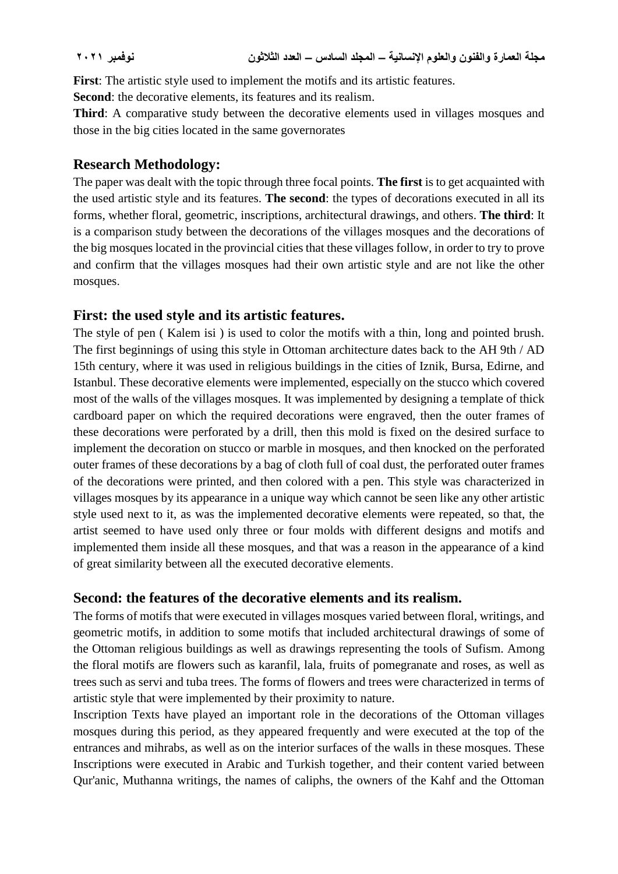**First**: The artistic style used to implement the motifs and its artistic features.

**Second**: the decorative elements, its features and its realism.

**Third**: A comparative study between the decorative elements used in villages mosques and those in the big cities located in the same governorates

#### **Research Methodology:**

The paper was dealt with the topic through three focal points. **The first** is to get acquainted with the used artistic style and its features. **The second**: the types of decorations executed in all its forms, whether floral, geometric, inscriptions, architectural drawings, and others. **The third**: It is a comparison study between the decorations of the villages mosques and the decorations of the big mosques located in the provincial cities that these villages follow, in order to try to prove and confirm that the villages mosques had their own artistic style and are not like the other mosques.

### **First: the used style and its artistic features.**

The style of pen ( Kalem isi ) is used to color the motifs with a thin, long and pointed brush. The first beginnings of using this style in Ottoman architecture dates back to the AH 9th / AD 15th century, where it was used in religious buildings in the cities of Iznik, Bursa, Edirne, and Istanbul. These decorative elements were implemented, especially on the stucco which covered most of the walls of the villages mosques. It was implemented by designing a template of thick cardboard paper on which the required decorations were engraved, then the outer frames of these decorations were perforated by a drill, then this mold is fixed on the desired surface to implement the decoration on stucco or marble in mosques, and then knocked on the perforated outer frames of these decorations by a bag of cloth full of coal dust, the perforated outer frames of the decorations were printed, and then colored with a pen. This style was characterized in villages mosques by its appearance in a unique way which cannot be seen like any other artistic style used next to it, as was the implemented decorative elements were repeated, so that, the artist seemed to have used only three or four molds with different designs and motifs and implemented them inside all these mosques, and that was a reason in the appearance of a kind of great similarity between all the executed decorative elements.

### **Second: the features of the decorative elements and its realism.**

The forms of motifs that were executed in villages mosques varied between floral, writings, and geometric motifs, in addition to some motifs that included architectural drawings of some of the Ottoman religious buildings as well as drawings representing the tools of Sufism. Among the floral motifs are flowers such as karanfil, lala, fruits of pomegranate and roses, as well as trees such as servi and tuba trees. The forms of flowers and trees were characterized in terms of artistic style that were implemented by their proximity to nature.

Inscription Texts have played an important role in the decorations of the Ottoman villages mosques during this period, as they appeared frequently and were executed at the top of the entrances and mihrabs, as well as on the interior surfaces of the walls in these mosques. These Inscriptions were executed in Arabic and Turkish together, and their content varied between Qur'anic, Muthanna writings, the names of caliphs, the owners of the Kahf and the Ottoman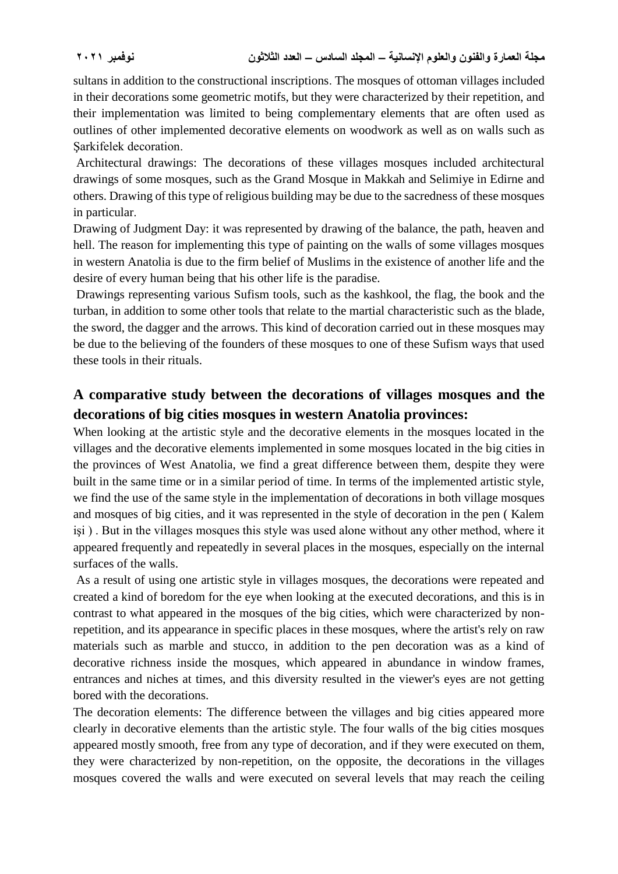sultans in addition to the constructional inscriptions. The mosques of ottoman villages included in their decorations some geometric motifs, but they were characterized by their repetition, and their implementation was limited to being complementary elements that are often used as outlines of other implemented decorative elements on woodwork as well as on walls such as Şarkifelek decoration.

Architectural drawings: The decorations of these villages mosques included architectural drawings of some mosques, such as the Grand Mosque in Makkah and Selimiye in Edirne and others. Drawing of this type of religious building may be due to the sacredness of these mosques in particular.

Drawing of Judgment Day: it was represented by drawing of the balance, the path, heaven and hell. The reason for implementing this type of painting on the walls of some villages mosques in western Anatolia is due to the firm belief of Muslims in the existence of another life and the desire of every human being that his other life is the paradise.

Drawings representing various Sufism tools, such as the kashkool, the flag, the book and the turban, in addition to some other tools that relate to the martial characteristic such as the blade, the sword, the dagger and the arrows. This kind of decoration carried out in these mosques may be due to the believing of the founders of these mosques to one of these Sufism ways that used these tools in their rituals.

# **A comparative study between the decorations of villages mosques and the decorations of big cities mosques in western Anatolia provinces:**

When looking at the artistic style and the decorative elements in the mosques located in the villages and the decorative elements implemented in some mosques located in the big cities in the provinces of West Anatolia, we find a great difference between them, despite they were built in the same time or in a similar period of time. In terms of the implemented artistic style, we find the use of the same style in the implementation of decorations in both village mosques and mosques of big cities, and it was represented in the style of decoration in the pen ( Kalem işi ) . But in the villages mosques this style was used alone without any other method, where it appeared frequently and repeatedly in several places in the mosques, especially on the internal surfaces of the walls.

As a result of using one artistic style in villages mosques, the decorations were repeated and created a kind of boredom for the eye when looking at the executed decorations, and this is in contrast to what appeared in the mosques of the big cities, which were characterized by nonrepetition, and its appearance in specific places in these mosques, where the artist's rely on raw materials such as marble and stucco, in addition to the pen decoration was as a kind of decorative richness inside the mosques, which appeared in abundance in window frames, entrances and niches at times, and this diversity resulted in the viewer's eyes are not getting bored with the decorations.

The decoration elements: The difference between the villages and big cities appeared more clearly in decorative elements than the artistic style. The four walls of the big cities mosques appeared mostly smooth, free from any type of decoration, and if they were executed on them, they were characterized by non-repetition, on the opposite, the decorations in the villages mosques covered the walls and were executed on several levels that may reach the ceiling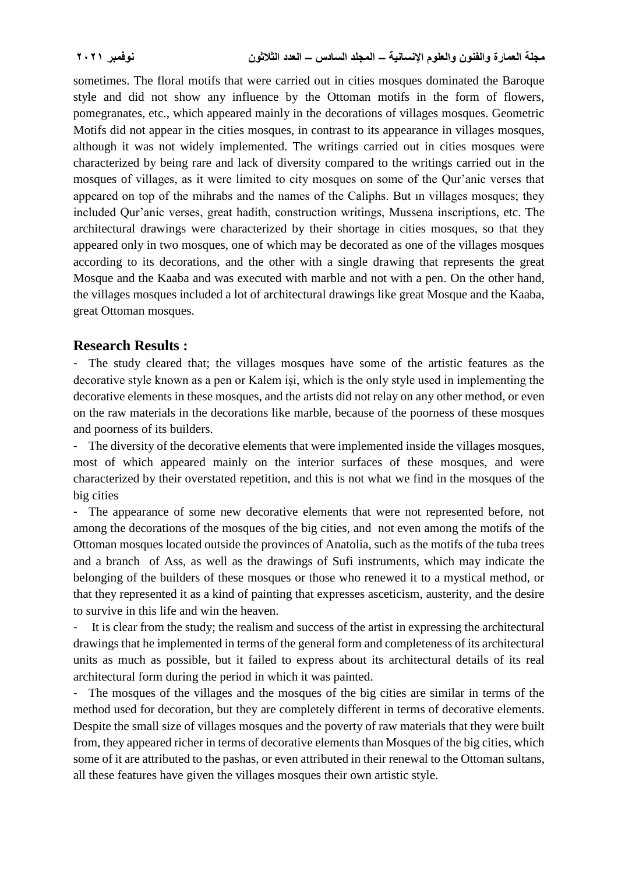sometimes. The floral motifs that were carried out in cities mosques dominated the Baroque style and did not show any influence by the Ottoman motifs in the form of flowers, pomegranates, etc., which appeared mainly in the decorations of villages mosques. Geometric Motifs did not appear in the cities mosques, in contrast to its appearance in villages mosques, although it was not widely implemented. The writings carried out in cities mosques were characterized by being rare and lack of diversity compared to the writings carried out in the mosques of villages, as it were limited to city mosques on some of the Qur'anic verses that appeared on top of the mihrabs and the names of the Caliphs. But ın villages mosques; they included Qur'anic verses, great hadith, construction writings, Mussena inscriptions, etc. The architectural drawings were characterized by their shortage in cities mosques, so that they appeared only in two mosques, one of which may be decorated as one of the villages mosques according to its decorations, and the other with a single drawing that represents the great Mosque and the Kaaba and was executed with marble and not with a pen. On the other hand, the villages mosques included a lot of architectural drawings like great Mosque and the Kaaba, great Ottoman mosques.

#### **Research Results :**

- The study cleared that; the villages mosques have some of the artistic features as the decorative style known as a pen or Kalem işi, which is the only style used in implementing the decorative elements in these mosques, and the artists did not relay on any other method, or even on the raw materials in the decorations like marble, because of the poorness of these mosques and poorness of its builders.

- The diversity of the decorative elements that were implemented inside the villages mosques, most of which appeared mainly on the interior surfaces of these mosques, and were characterized by their overstated repetition, and this is not what we find in the mosques of the big cities

- The appearance of some new decorative elements that were not represented before, not among the decorations of the mosques of the big cities, and not even among the motifs of the Ottoman mosques located outside the provinces of Anatolia, such as the motifs of the tuba trees and a branch of Ass, as well as the drawings of Sufi instruments, which may indicate the belonging of the builders of these mosques or those who renewed it to a mystical method, or that they represented it as a kind of painting that expresses asceticism, austerity, and the desire to survive in this life and win the heaven.

It is clear from the study; the realism and success of the artist in expressing the architectural drawings that he implemented in terms of the general form and completeness of its architectural units as much as possible, but it failed to express about its architectural details of its real architectural form during the period in which it was painted.

- The mosques of the villages and the mosques of the big cities are similar in terms of the method used for decoration, but they are completely different in terms of decorative elements. Despite the small size of villages mosques and the poverty of raw materials that they were built from, they appeared richer in terms of decorative elements than Mosques of the big cities, which some of it are attributed to the pashas, or even attributed in their renewal to the Ottoman sultans, all these features have given the villages mosques their own artistic style.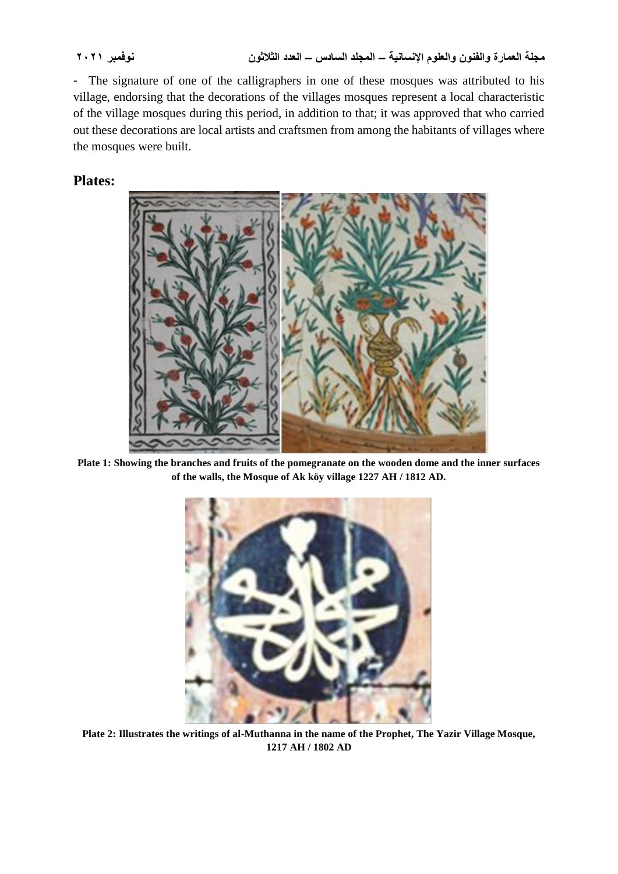- The signature of one of the calligraphers in one of these mosques was attributed to his village, endorsing that the decorations of the villages mosques represent a local characteristic of the village mosques during this period, in addition to that; it was approved that who carried out these decorations are local artists and craftsmen from among the habitants of villages where the mosques were built.

## **Plates:**



**Plate 1: Showing the branches and fruits of the pomegranate on the wooden dome and the inner surfaces of the walls, the Mosque of Ak köy village 1227 AH / 1812 AD.**



**Plate 2: Illustrates the writings of al-Muthanna in the name of the Prophet, The Yazir Village Mosque, 1217 AH / 1802 AD**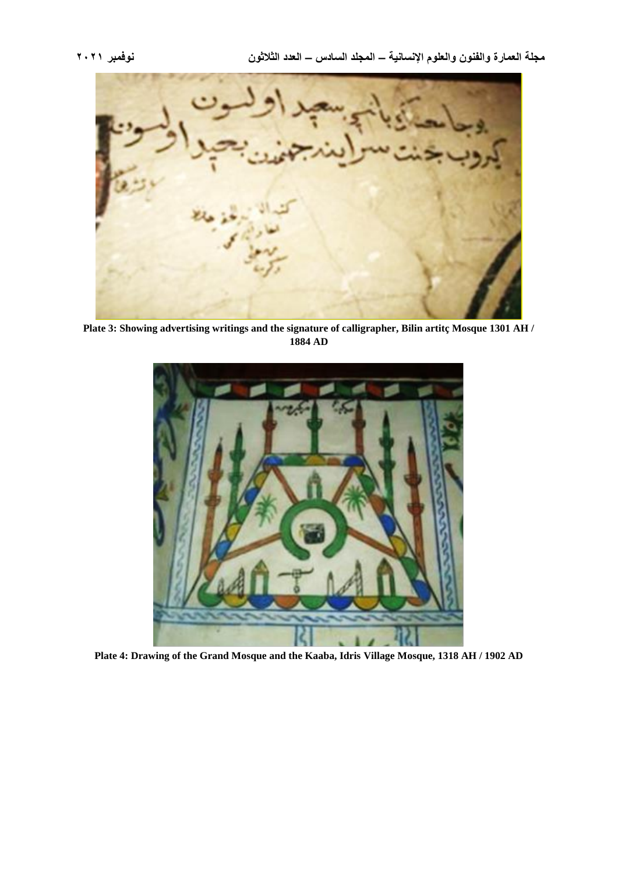

**Plate 3: Showing advertising writings and the signature of calligrapher, Bilin artitç Mosque 1301 AH / 1884 AD**



**Plate 4: Drawing of the Grand Mosque and the Kaaba, Idris Village Mosque, 1318 AH / 1902 AD**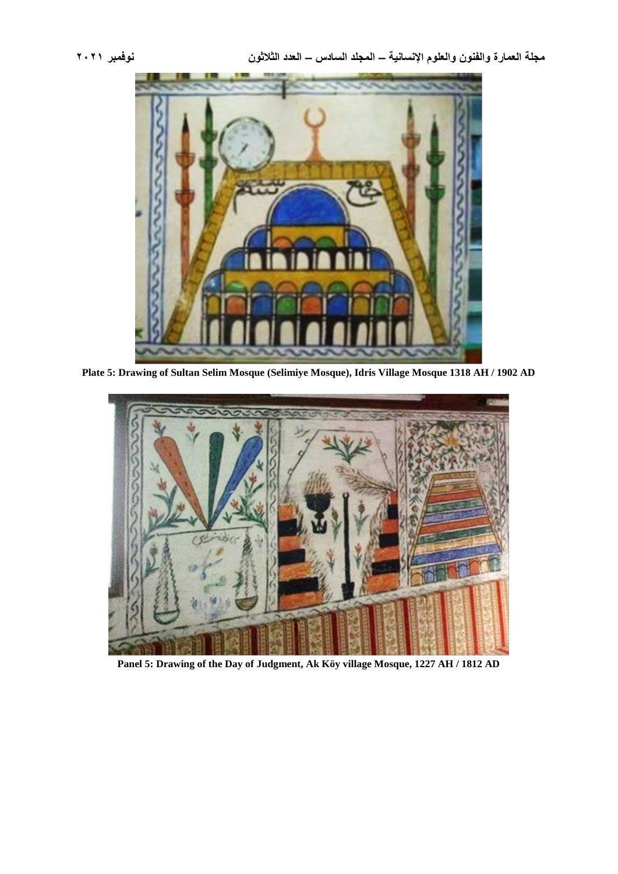

**Plate 5: Drawing of Sultan Selim Mosque (Selimiye Mosque), Idris Village Mosque 1318 AH / 1902 AD**



**Panel 5: Drawing of the Day of Judgment, Ak Köy village Mosque, 1227 AH / 1812 AD**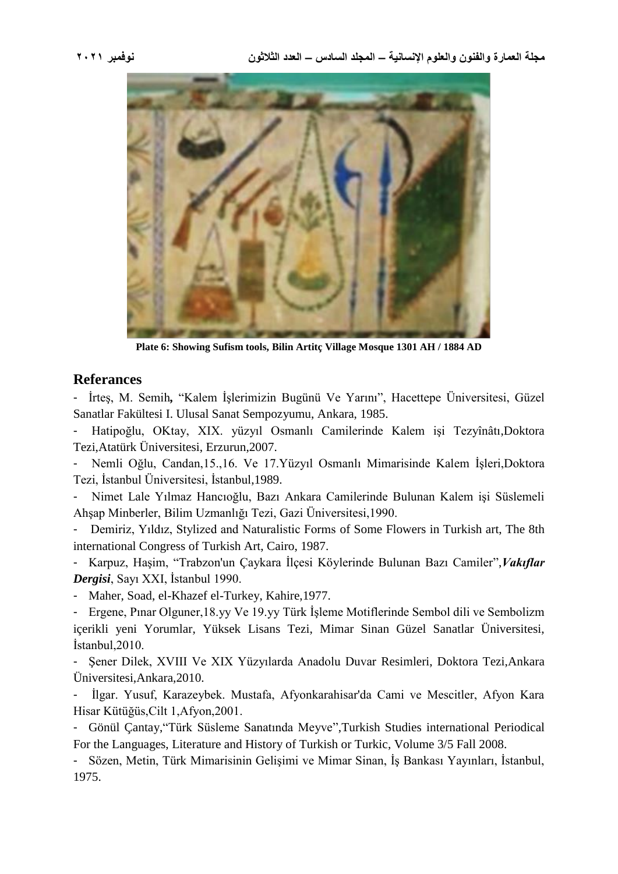

**Plate 6: Showing Sufism tools, Bilin Artitç Village Mosque 1301 AH / 1884 AD**

#### **Referances**

- İrteş, M. Semih*,* "Kalem İşlerimizin Bugünü Ve Yarını", Hacettepe Üniversitesi, Güzel Sanatlar Fakültesi I. Ulusal Sanat Sempozyumu, Ankara, 1985.

- Hatipoğlu, OKtay, [XIX. yüzyıl Osmanlı Camilerinde Kalem işi Tezyînâtı,](http://biksad.blob.core.windows.net/uploadtexts/532cdabe1d87910b0cccf35c.pdf)Doktora Tezi,Atatürk Üniversitesi, Erzurun,2007.

- Nemli Oğlu, Candan,15.,16. Ve 17.Yüzyıl Osmanlı Mimarisinde Kalem İşleri,Doktora Tezi, İstanbul Üniversitesi, İstanbul,1989.

- Nimet Lale Yılmaz Hancıoğlu, Bazı Ankara Camilerinde Bulunan Kalem işi Süslemeli Ahşap Minberler, Bilim Uzmanlığı Tezi, Gazi Üniversitesi,1990.

- Demiriz, Yıldız, Stylized and Naturalistic Forms of Some Flowers in Turkish art, The 8th international Congress of Turkish Art, Cairo, 1987.

- Karpuz, Haşim, "Trabzon'un Çaykara İlçesi Köylerinde Bulunan Bazı Camiler",*Vakıflar Dergisi*, Sayı XXI, İstanbul 1990.

Maher, Soad, el-Khazef el-Turkey, Kahire,1977.

- Ergene, Pınar Olguner,18.yy Ve 19.yy Türk İşleme Motiflerinde Sembol dili ve Sembolizm içerikli yeni Yorumlar, Yüksek Lisans Tezi, Mimar Sinan Güzel Sanatlar Üniversitesi, İstanbul,2010.

- Şener Dilek, XVIII Ve XIX Yüzyılarda Anadolu Duvar Resimleri, Doktora Tezi,Ankara Üniversitesi,Ankara,2010.

- İlgar. Yusuf, Karazeybek. Mustafa, Afyonkarahisar'da Cami ve Mescitler, Afyon Kara Hisar Kütüğüs,Cilt 1,Afyon,2001.

- Gönül Çantay,"Türk Süsleme Sanatında Meyve",Turkish Studies international Periodical For the Languages, Literature and History of Turkish or Turkic, Volume 3/5 Fall 2008.

- Sözen, Metin, Türk Mimarisinin Gelişimi ve Mimar Sinan, İş Bankası Yayınları, İstanbul, 1975.